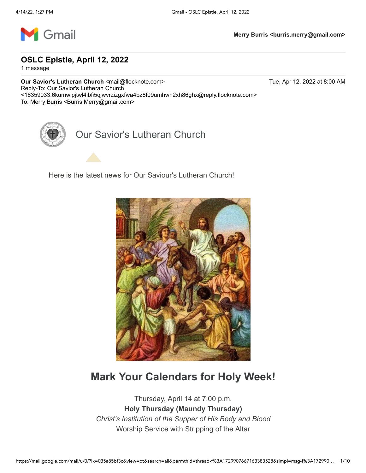

**OSLC Epistle, April 12, 2022**

1 message

**Our Savior's Lutheran Church <mail@flocknote.com> Tue, Apr 12, 2022 at 8:00 AM** Reply-To: Our Savior's Lutheran Church <16359033.6kumwlpjtwl4ibfi5qjwvrzizgxfwa4bz8f09umhwh2xh86ghx@reply.flocknote.com> To: Merry Burris <Burris.Merry@gmail.com>

Our Savior's Lutheran Church

Here is the latest news for Our Saviour's Lutheran Church!



#### **Mark Your Calendars for Holy Week!**

Thursday, April 14 at 7:00 p.m. **Holy Thursday (Maundy Thursday)** *Christ's Institution of the Supper of His Body and Blood* Worship Service with Stripping of the Altar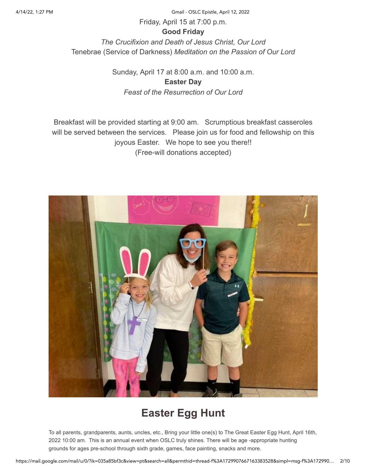4/14/22, 1:27 PM Gmail - OSLC Epistle, April 12, 2022

Friday, April 15 at 7:00 p.m.

#### **Good Friday**

*The Crucifixion and Death of Jesus Christ, Our Lord* Tenebrae (Service of Darkness) *Meditation on the Passion of Our Lord*

> Sunday, April 17 at 8:00 a.m. and 10:00 a.m. **Easter Day** *Feast of the Resurrection of Our Lord*

Breakfast will be provided starting at 9:00 am. Scrumptious breakfast casseroles will be served between the services. Please join us for food and fellowship on this joyous Easter. We hope to see you there!! (Free-will donations accepted)



## **Easter Egg Hunt**

To all parents, grandparents, aunts, uncles, etc., Bring your little one(s) to The Great Easter Egg Hunt, April 16th, 2022 10:00 am. This is an annual event when OSLC truly shines. There will be age -appropriate hunting grounds for ages pre-school through sixth grade, games, face painting, snacks and more.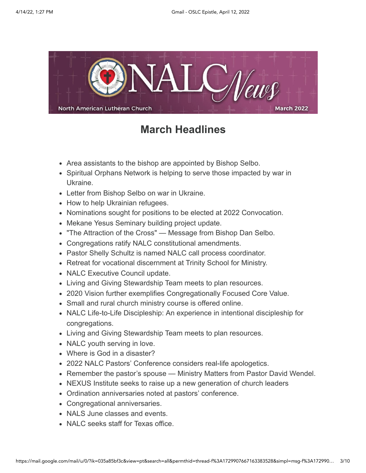

#### **March Headlines**

- Area assistants to the bishop are appointed by Bishop Selbo.
- Spiritual Orphans Network is helping to serve those impacted by war in Ukraine.
- Letter from Bishop Selbo on war in Ukraine.
- How to help Ukrainian refugees.
- Nominations sought for positions to be elected at 2022 Convocation.
- Mekane Yesus Seminary building project update.
- "The Attraction of the Cross" Message from Bishop Dan Selbo.
- Congregations ratify NALC constitutional amendments.
- Pastor Shelly Schultz is named NALC call process coordinator.
- Retreat for vocational discernment at Trinity School for Ministry.
- NALC Executive Council update.
- Living and Giving Stewardship Team meets to plan resources.
- 2020 Vision further exemplifies Congregationally Focused Core Value.
- Small and rural church ministry course is offered online.
- NALC Life-to-Life Discipleship: An experience in intentional discipleship for congregations.
- Living and Giving Stewardship Team meets to plan resources.
- NALC youth serving in love.
- Where is God in a disaster?
- 2022 NALC Pastors' Conference considers real-life apologetics.
- Remember the pastor's spouse Ministry Matters from Pastor David Wendel.
- NEXUS Institute seeks to raise up a new generation of church leaders
- Ordination anniversaries noted at pastors' conference.
- Congregational anniversaries.
- NALS June classes and events.
- NALC seeks staff for Texas office.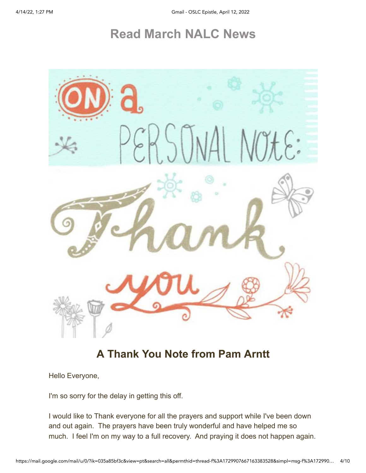# **[Read March NALC News](https://email-mg.flocknote.com/c/eJwVjstuwyAQRb_G3oGGGWjUBYu0UldN-w08htgKAQtjRf37YunqvlYn2osivOh5tQiIoBUqAiCShthzAh2NxpQiTRpSruFRamcZ6nNe7HtSIUFS2tGb9wCYUGk2wCZ5bwjnbJfet32i64RfQ33h4nKQtd3Hem0i1NK59DGOLVcX99FOjhFAw36u35_i5lpYxHmL36PntXAUL_Zyi2lu9uNobd3ljVv7G4z3p1vzyfcPyhtCCw)**



### **A Thank You Note from Pam Arntt**

Hello Everyone,

I'm so sorry for the delay in getting this off.

I would like to Thank everyone for all the prayers and support while I've been down and out again. The prayers have been truly wonderful and have helped me so much. I feel I'm on my way to a full recovery. And praying it does not happen again.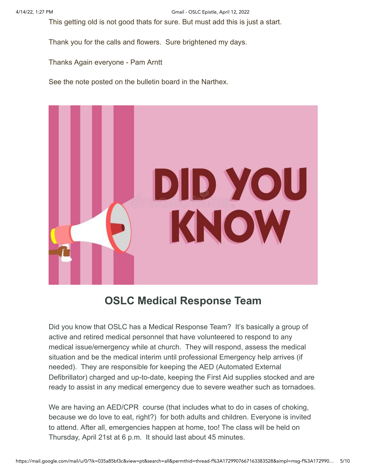This getting old is not good thats for sure. But must add this is just a start.

Thank you for the calls and flowers. Sure brightened my days.

Thanks Again everyone - Pam Arntt

See the note posted on the bulletin board in the Narthex.



#### **OSLC Medical Response Team**

Did you know that OSLC has a Medical Response Team? It's basically a group of active and retired medical personnel that have volunteered to respond to any medical issue/emergency while at church. They will respond, assess the medical situation and be the medical interim until professional Emergency help arrives (if needed). They are responsible for keeping the AED (Automated External Defibrillator) charged and up-to-date, keeping the First Aid supplies stocked and are ready to assist in any medical emergency due to severe weather such as tornadoes.

We are having an AED/CPR course (that includes what to do in cases of choking, because we do love to eat, right?) for both adults and children. Everyone is invited to attend. After all, emergencies happen at home, too! The class will be held on Thursday, April 21st at 6 p.m. It should last about 45 minutes.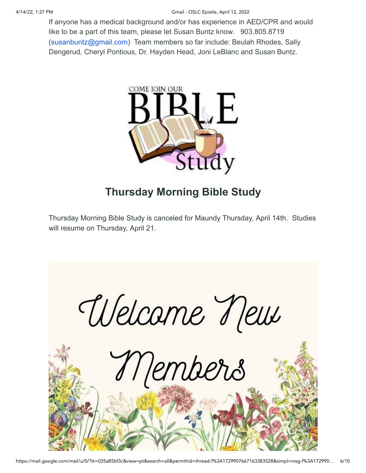If anyone has a medical background and/or has experience in AED/CPR and would like to be a part of this team, please let Susan Buntz know. 903.805.8719 [\(susanbuntz@gmail.com](mailto:susanbuntz@gmail.com)) Team members so far include: Beulah Rhodes, Sally Dengerud, Cheryl Pontious, Dr. Hayden Head, Joni LeBlanc and Susan Buntz.



## **Thursday Morning Bible Study**

Thursday Morning Bible Study is canceled for Maundy Thursday, April 14th. Studies will resume on Thursday, April 21.

Welcame New Members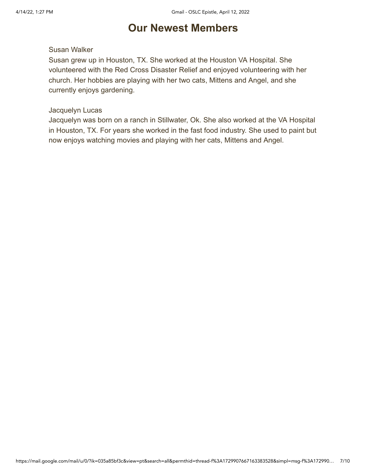### **Our Newest Members**

#### Susan Walker

Susan grew up in Houston, TX. She worked at the Houston VA Hospital. She volunteered with the Red Cross Disaster Relief and enjoyed volunteering with her church. Her hobbies are playing with her two cats, Mittens and Angel, and she currently enjoys gardening.

#### Jacquelyn Lucas

Jacquelyn was born on a ranch in Stillwater, Ok. She also worked at the VA Hospital in Houston, TX. For years she worked in the fast food industry. She used to paint but now enjoys watching movies and playing with her cats, Mittens and Angel.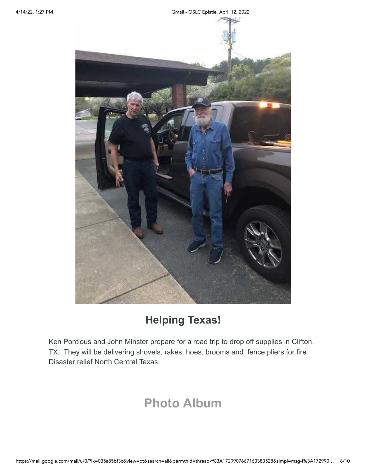4/14/22, 1:27 PM Gmail - OSLC Epistle, April 12, 2022



## **Helping Texas!**

Ken Pontious and John Minster prepare for a road trip to drop off supplies in Clifton, TX. They will be delivering shovels, rakes, hoes, brooms and fence pliers for fire Disaster relief North Central Texas.

# **[Photo Album](https://email-mg.flocknote.com/c/eJwtjjsOwyAQRE9jOluYXUMaiqRIl0PwWWwUHCwginz7ECnSNKM30huv1QxCIYtacCE4zmIGzgGmBchS4OgXFCF4GJCHlN3zlRtNLu9s084ES1Z6QMeVB2MBjCJCL6XERVxY0ltrRx3gOoh7T67JtTNRmXJZe3_Rp447-Wj-cDy23PK4mtRHJyv69i4l1ulBpZz9wbqbmH72L3iTOhw)**